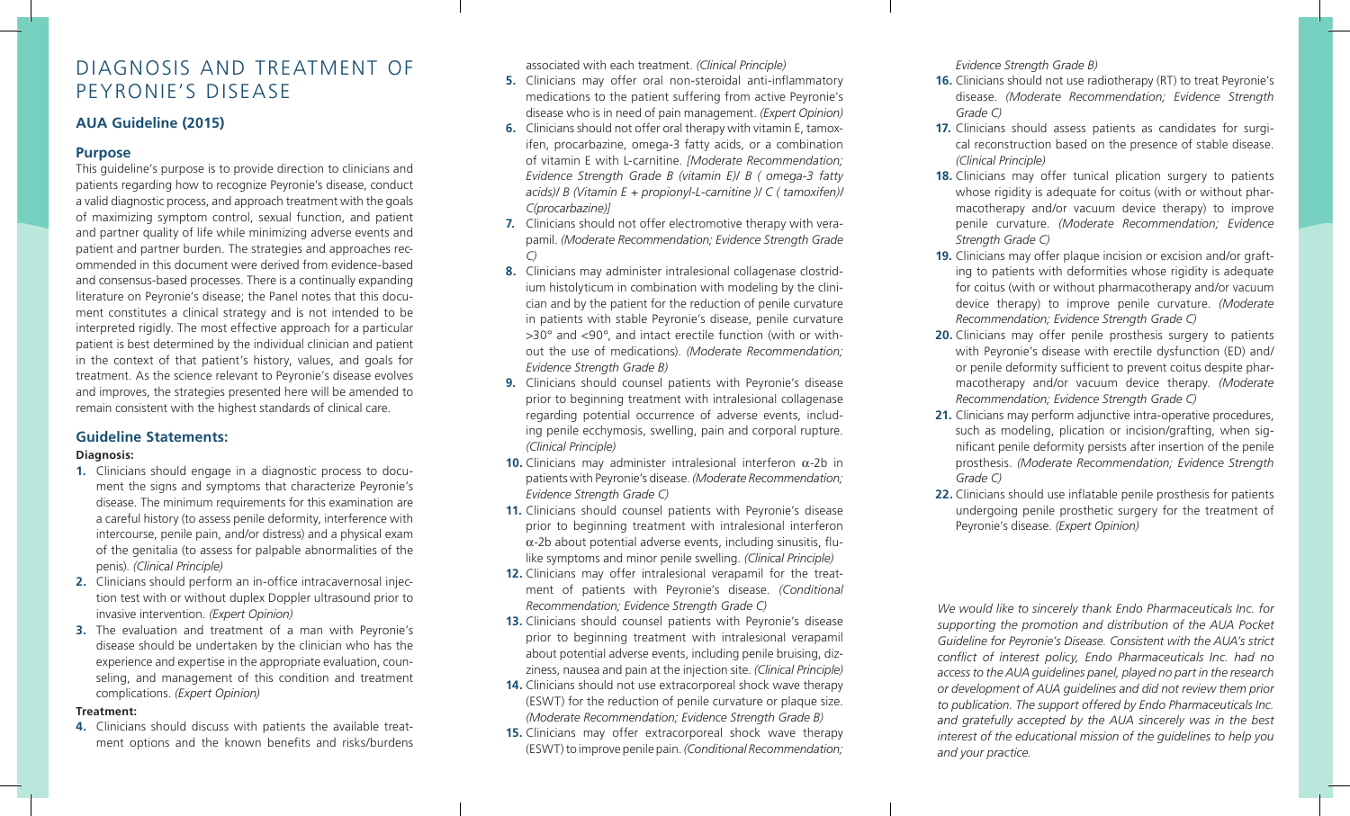# DIAGNOSIS AND TREATMENT OF PEYRONIE'S DISEASE

### **AUA Guideline (2015)**

#### **Purpose**

This guideline's purpose is to provide direction to clinicians and patients regarding how to recognize Peyronie's disease, conduct a valid diagnostic process, and approach treatment with the goals of maximizing symptom control, sexual function, and patient and partner quality of life while minimizing adverse events and patient and partner burden. The strategies and approaches recommended in this document were derived from evidence-based and consensus-based processes. There is a continually expanding literature on Peyronie's disease; the Panel notes that this document constitutes a clinical strategy and is not intended to be interpreted rigidly. The most effective approach for a particular patient is best determined by the individual clinician and patient in the context of that patient's history, values, and goals for treatment. As the science relevant to Peyronie's disease evolves and improves, the strategies presented here will be amended to remain consistent with the highest standards of clinical care.

#### **Guideline Statements:**

#### **Diagnosis:**

- **1.** Clinicians should engage in a diagnostic process to document the signs and symptoms that characterize Peyronie's disease. The minimum requirements for this examination are a careful history (to assess penile deformity, interference with intercourse, penile pain, and/or distress) and a physical exam of the genitalia (to assess for palpable abnormalities of the penis). *(Clinical Principle)*
- **2.** Clinicians should perform an in-office intracavernosal injection test with or without duplex Doppler ultrasound prior to invasive intervention. *(Expert Opinion)*
- **3.** The evaluation and treatment of a man with Peyronie's disease should be undertaken by the clinician who has the experience and expertise in the appropriate evaluation, counseling, and management of this condition and treatment complications. *(Expert Opinion)*

#### **Treatment:**

**4.** Clinicians should discuss with patients the available treatment options and the known benefits and risks/burdens associated with each treatment. *(Clinical Principle)*

- **5.** Clinicians may offer oral non-steroidal anti-inflammatory medications to the patient suffering from active Peyronie's disease who is in need of pain management. *(Expert Opinion)*
- **6.** Clinicians should not offer oral therapy with vitamin E, tamoxifen, procarbazine, omega-3 fatty acids, or a combination of vitamin E with L-carnitine. *[Moderate Recommendation; Evidence Strength Grade B (vitamin E)/ B ( omega-3 fatty acids)/ B (Vitamin E + propionyl-L-carnitine )/ C ( tamoxifen)/ C(procarbazine)]*
- **7.** Clinicians should not offer electromotive therapy with verapamil. *(Moderate Recommendation; Evidence Strength Grade C)*
- **8.** Clinicians may administer intralesional collagenase clostridium histolyticum in combination with modeling by the clinician and by the patient for the reduction of penile curvature in patients with stable Peyronie's disease, penile curvature >30° and <90°, and intact erectile function (with or without the use of medications). *(Moderate Recommendation; Evidence Strength Grade B)*
- **9.** Clinicians should counsel patients with Peyronie's disease prior to beginning treatment with intralesional collagenase regarding potential occurrence of adverse events, including penile ecchymosis, swelling, pain and corporal rupture. *(Clinical Principle)*
- **10.** Clinicians may administer intralesional interferon α-2b in patients with Peyronie's disease. *(Moderate Recommendation; Evidence Strength Grade C)*
- **11.** Clinicians should counsel patients with Peyronie's disease prior to beginning treatment with intralesional interferon α-2b about potential adverse events, including sinusitis, flulike symptoms and minor penile swelling. *(Clinical Principle)*
- **12.** Clinicians may offer intralesional verapamil for the treatment of patients with Peyronie's disease. *(Conditional Recommendation; Evidence Strength Grade C)*
- **13.** Clinicians should counsel patients with Peyronie's disease prior to beginning treatment with intralesional verapamil about potential adverse events, including penile bruising, dizziness, nausea and pain at the injection site. *(Clinical Principle)*
- **14.** Clinicians should not use extracorporeal shock wave therapy (ESWT) for the reduction of penile curvature or plaque size. *(Moderate Recommendation; Evidence Strength Grade B)*
- **15.** Clinicians may offer extracorporeal shock wave therapy (ESWT) to improve penile pain. *(Conditional Recommendation;*

*Evidence Strength Grade B)*

- **16.** Clinicians should not use radiotherapy (RT) to treat Peyronie's disease. *(Moderate Recommendation; Evidence Strength Grade C)*
- **17.** Clinicians should assess patients as candidates for surgical reconstruction based on the presence of stable disease. *(Clinical Principle)*
- **18.** Clinicians may offer tunical plication surgery to patients whose rigidity is adequate for coitus (with or without pharmacotherapy and/or vacuum device therapy) to improve penile curvature. *(Moderate Recommendation; Evidence Strength Grade C)*
- **19.** Clinicians may offer plaque incision or excision and/or grafting to patients with deformities whose rigidity is adequate for coitus (with or without pharmacotherapy and/or vacuum device therapy) to improve penile curvature. *(Moderate Recommendation; Evidence Strength Grade C)*
- **20.** Clinicians may offer penile prosthesis surgery to patients with Peyronie's disease with erectile dysfunction (ED) and/ or penile deformity sufficient to prevent coitus despite pharmacotherapy and/or vacuum device therapy. *(Moderate Recommendation; Evidence Strength Grade C)*
- 21. Clinicians may perform adjunctive intra-operative procedures, such as modeling, plication or incision/grafting, when significant penile deformity persists after insertion of the penile prosthesis. *(Moderate Recommendation; Evidence Strength Grade C)*
- **22.** Clinicians should use inflatable penile prosthesis for patients undergoing penile prosthetic surgery for the treatment of Peyronie's disease. *(Expert Opinion)*

*We would like to sincerely thank Endo Pharmaceuticals Inc. for supporting the promotion and distribution of the AUA Pocket Guideline for Peyronie's Disease. Consistent with the AUA's strict conflict of interest policy, Endo Pharmaceuticals Inc. had no access to the AUA guidelines panel, played no part in the research or development of AUA guidelines and did not review them prior to publication. The support offered by Endo Pharmaceuticals Inc. and gratefully accepted by the AUA sincerely was in the best interest of the educational mission of the guidelines to help you and your practice.*